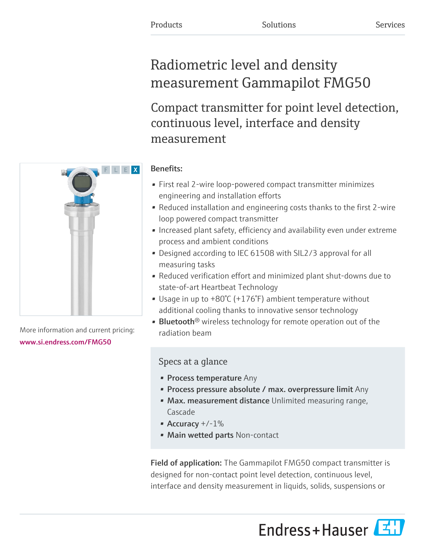# Radiometric level and density measurement Gammapilot FMG50

Compact transmitter for point level detection, continuous level, interface and density measurement

## Benefits:

- First real 2-wire loop-powered compact transmitter minimizes engineering and installation efforts
- Reduced installation and engineering costs thanks to the first 2-wire loop powered compact transmitter
- Increased plant safety, efficiency and availability even under extreme process and ambient conditions
- Designed according to IEC 61508 with SIL2/3 approval for all measuring tasks
- Reduced verification effort and minimized plant shut-downs due to state-of-art Heartbeat Technology
- Usage in up to +80°C (+176°F) ambient temperature without additional cooling thanks to innovative sensor technology
- **Bluetooth**<sup>®</sup> wireless technology for remote operation out of the radiation beam

## Specs at a glance

- Process temperature Any
- Process pressure absolute / max. overpressure limit Any
- Max. measurement distance Unlimited measuring range, Cascade
- Accuracy  $+/-1\%$
- Main wetted parts Non-contact

**Field of application:** The Gammapilot FMG50 compact transmitter is designed for non-contact point level detection, continuous level, interface and density measurement in liquids, solids, suspensions or





More information and current pricing: [www.si.endress.com/FMG50](https://www.si.endress.com/FMG50)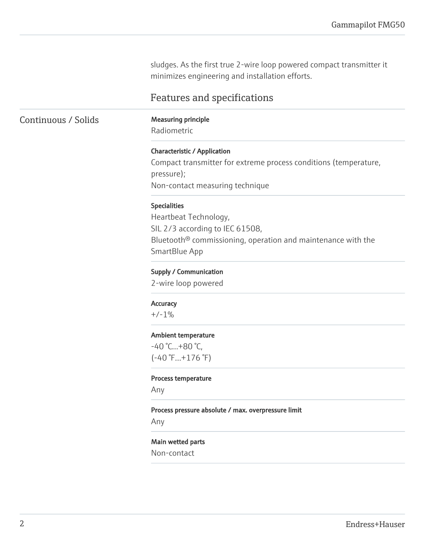sludges. As the first true 2-wire loop powered compact transmitter it minimizes engineering and installation efforts.

### Features and specifications

Continuous / Solids Measuring principle

Radiometric

### Characteristic / Application

Compact transmitter for extreme process conditions (temperature, pressure); Non-contact measuring technique

### Specialities

Heartbeat Technology, SIL 2/3 according to IEC 61508, Bluetooth® commissioning, operation and maintenance with the SmartBlue App

### Supply / Communication

2-wire loop powered

#### Accuracy

 $+/-1%$ 

#### Ambient temperature

 $-40 °C...+80 °C,$  $(-40 \degree F...+176 \degree F)$ 

#### Process temperature

Any

#### Process pressure absolute / max. overpressure limit

Any

### Main wetted parts

Non-contact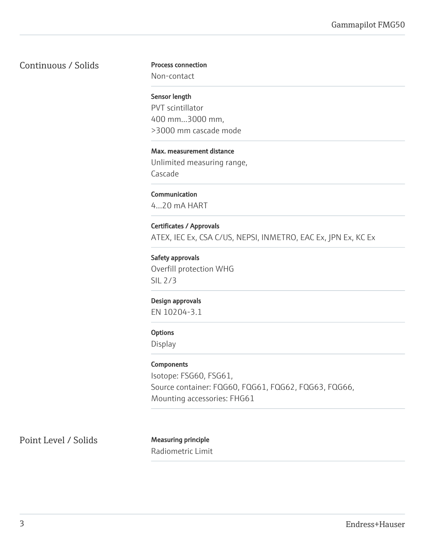### Continuous / Solids

### Process connection

Non-contact

Sensor length PVT scintillator 400 mm...3000 mm, >3000 mm cascade mode

Max. measurement distance Unlimited measuring range, Cascade

Communication 4...20 mA HART

Certificates / Approvals ATEX, IEC Ex, CSA C/US, NEPSI, INMETRO, EAC Ex, JPN Ex, KC Ex

Safety approvals Overfill protection WHG SIL 2/3

### Design approvals

EN 10204-3.1

### **Options**

Display

### Components

Isotope: FSG60, FSG61, Source container: FQG60, FQG61, FQG62, FQG63, FQG66, Mounting accessories: FHG61

Point Level / Solids Measuring principle

Radiometric Limit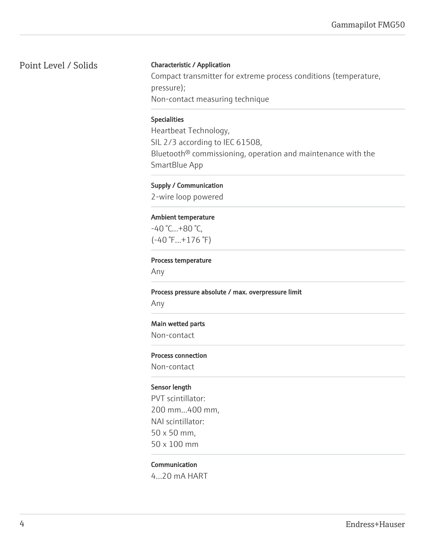### Point Level / Solids

### Characteristic / Application

Compact transmitter for extreme process conditions (temperature, pressure); Non-contact measuring technique

### Specialities

Heartbeat Technology, SIL 2/3 according to IEC 61508, Bluetooth® commissioning, operation and maintenance with the SmartBlue App

### Supply / Communication

2-wire loop powered

### Ambient temperature

 $-40 °C...+80 °C,$ (-40 °F...+176 °F)

#### Process temperature

Any

#### Process pressure absolute / max. overpressure limit

Any

### Main wetted parts

Non-contact

#### Process connection

Non-contact

### Sensor length

PVT scintillator: 200 mm...400 mm, NAI scintillator: 50 x 50 mm, 50 x 100 mm

### Communication

4...20 mA HART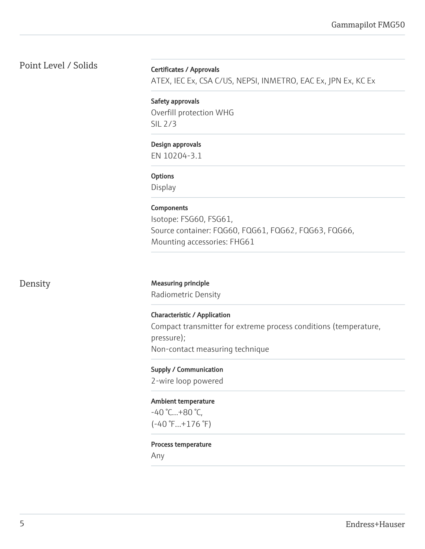### Point Level / Solids

### Certificates / Approvals

ATEX, IEC Ex, CSA C/US, NEPSI, INMETRO, EAC Ex, JPN Ex, KC Ex

Safety approvals Overfill protection WHG SIL 2/3

### Design approvals

EN 10204-3.1

### **Options**

Display

### Components

Isotope: FSG60, FSG61, Source container: FQG60, FQG61, FQG62, FQG63, FQG66, Mounting accessories: FHG61

### Density Measuring principle

Radiometric Density

Characteristic / Application Compact transmitter for extreme process conditions (temperature, pressure); Non-contact measuring technique

Supply / Communication 2-wire loop powered

Ambient temperature -40 °C...+80 °C, (-40 °F...+176 °F)

#### Process temperature

Any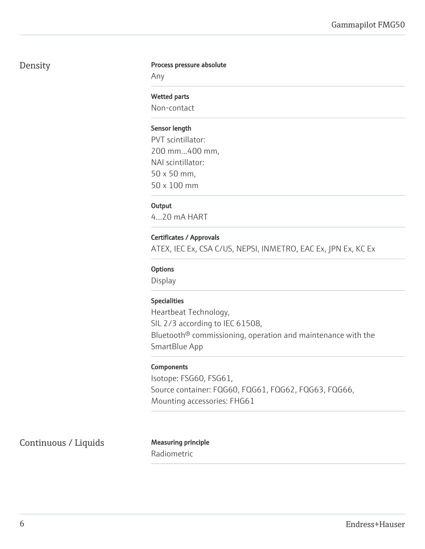### Density

### Process pressure absolute

Any

### Wetted parts

Non-contact

### Sensor length

PVT scintillator: 200 mm...400 mm, NAI scintillator: 50 x 50 mm, 50 x 100 mm

### **Output**

4...20 mA HART

### Certificates / Approvals

ATEX, IEC Ex, CSA C/US, NEPSI, INMETRO, EAC Ex, JPN Ex, KC Ex

### **Options**

Display

### Specialities

Heartbeat Technology, SIL 2/3 according to IEC 61508, Bluetooth® commissioning, operation and maintenance with the SmartBlue App

### **Components**

Isotope: FSG60, FSG61, Source container: FQG60, FQG61, FQG62, FQG63, FQG66, Mounting accessories: FHG61

Continuous / Liquids Measuring principle

Radiometric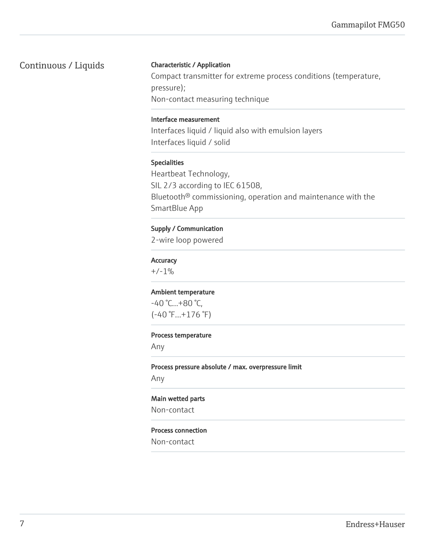### Continuous / Liquids

### Characteristic / Application

Compact transmitter for extreme process conditions (temperature, pressure); Non-contact measuring technique

### Interface measurement

Interfaces liquid / liquid also with emulsion layers Interfaces liquid / solid

### Specialities

Heartbeat Technology, SIL 2/3 according to IEC 61508, Bluetooth® commissioning, operation and maintenance with the SmartBlue App

### Supply / Communication

2-wire loop powered

### **Accuracy**

 $+/-1%$ 

### Ambient temperature

 $-40 °C...+80 °C,$ (-40 °F...+176 °F)

#### Process temperature

Any

### Process pressure absolute / max. overpressure limit

Any

### Main wetted parts

Non-contact

#### Process connection

Non-contact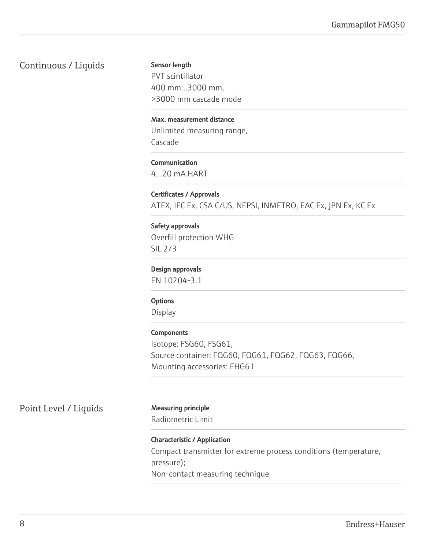### Continuous / Liquids

Sensor length

PVT scintillator 400 mm...3000 mm, >3000 mm cascade mode

### Max. measurement distance

Unlimited measuring range, Cascade

### Communication

4...20 mA HART

### Certificates / Approvals

ATEX, IEC Ex, CSA C/US, NEPSI, INMETRO, EAC Ex, JPN Ex, KC Ex

### Safety approvals

Overfill protection WHG SIL 2/3

### Design approvals

EN 10204-3.1

### **Options**

Display

### **Components**

Isotope: FSG60, FSG61, Source container: FQG60, FQG61, FQG62, FQG63, FQG66, Mounting accessories: FHG61

Point Level / Liquids Measuring principle

Radiometric Limit

### Characteristic / Application Compact transmitter for extreme process conditions (temperature, pressure); Non-contact measuring technique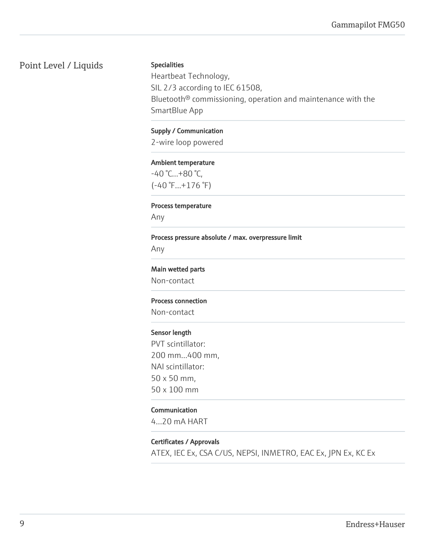### Point Level / Liquids

### Specialities

Heartbeat Technology, SIL 2/3 according to IEC 61508, Bluetooth® commissioning, operation and maintenance with the SmartBlue App

### Supply / Communication

2-wire loop powered

### Ambient temperature

-40 °C...+80 °C, (-40 °F...+176 °F)

### Process temperature

Any

#### Process pressure absolute / max. overpressure limit

Any

### Main wetted parts

Non-contact

### Process connection

Non-contact

### Sensor length

PVT scintillator: 200 mm...400 mm, NAI scintillator: 50 x 50 mm, 50 x 100 mm

### Communication

4...20 mA HART

### Certificates / Approvals

ATEX, IEC Ex, CSA C/US, NEPSI, INMETRO, EAC Ex, JPN Ex, KC Ex